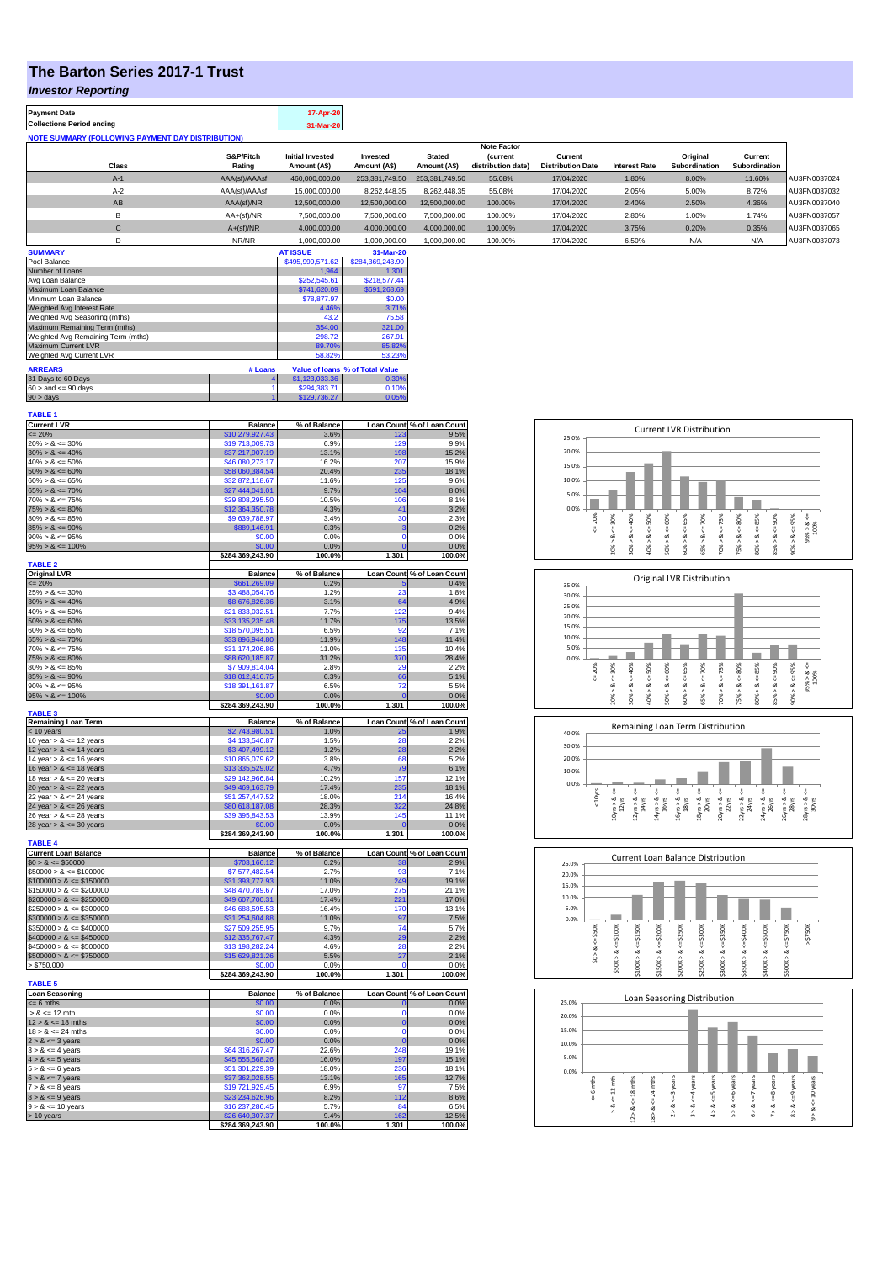## **The Barton Series 2017-1 Trust**

## *Investor Reporting*

| <b>Payment Date</b>                                      | 17-Apr-20 |
|----------------------------------------------------------|-----------|
| <b>Collections Period ending</b>                         | 31-Mar-20 |
| <b>NOTE SUMMARY (FOLLOWING PAYMENT DAY DISTRIBUTION)</b> |           |
|                                                          |           |

|              |               |                         |                |                | <b>Note Factor</b> |                          |                      |               |               |              |
|--------------|---------------|-------------------------|----------------|----------------|--------------------|--------------------------|----------------------|---------------|---------------|--------------|
|              | S&P/Fitch     | <b>Initial Invested</b> | Invested       | <b>Stated</b>  | <b>Current</b>     | Current                  |                      | Original      | Current       |              |
| Class        | Rating        | Amount (A\$)            | Amount (A\$)   | Amount (A\$)   | distribution date) | <b>Distribution Date</b> | <b>Interest Rate</b> | Subordination | Subordination |              |
| $A-1$        | AAA(sf)/AAAsf | 460,000,000.00          | 253.381.749.50 | 253.381.749.50 | 55.08%             | 17/04/2020               | 1.80%                | 8.00%         | 11.60%        | AU3FN0037024 |
| $A-2$        | AAA(sf)/AAAsf | 15,000,000,00           | 8.262.448.35   | 8.262.448.35   | 55.08%             | 17/04/2020               | 2.05%                | 5.00%         | 8.72%         | AU3FN0037032 |
| AB           | AAA(sf)/NR    | 12,500,000.00           | 12,500,000.00  | 12,500,000.00  | 100.00%            | 17/04/2020               | 2.40%                | 2.50%         | 4.36%         | AU3FN0037040 |
| в            | $AA+(sf)/NR$  | 7,500,000.00            | 7.500.000.00   | 7.500.000.00   | 100.00%            | 17/04/2020               | 2.80%                | 1.00%         | 1.74%         | AU3FN0037057 |
| $\mathsf{C}$ | $A+(sf)/NR$   | 4,000,000.00            | 4,000,000.00   | 4.000.000.00   | 100.00%            | 17/04/2020               | 3.75%                | 0.20%         | 0.35%         | AU3FN0037065 |
|              | NR/NR         | 1.000.000.00            | 1.000.000.00   | 1.000.000.00   | 100.00%            | 17/04/2020               | 6.50%                | N/A           | N/A           | AU3FN0037073 |

| <b>SUMMARY</b>                     |         | <b>AT ISSUE</b>  | 31-Mar-20                       |
|------------------------------------|---------|------------------|---------------------------------|
| Pool Balance                       |         | \$495,999,571.62 | \$284,369,243.90                |
| Number of Loans                    |         | 1.964            | 1.301                           |
| Avg Loan Balance                   |         | \$252,545.61     | \$218,577.44                    |
| Maximum Loan Balance               |         | \$741,620.09     | \$691,268.69                    |
| Minimum Loan Balance               |         | \$78,877.97      | \$0.00                          |
| Weighted Avg Interest Rate         |         | 4.46%            | 3.71%                           |
| Weighted Avg Seasoning (mths)      |         | 43.2             | 75.58                           |
| Maximum Remaining Term (mths)      |         | 354.00           | 321.00                          |
| Weighted Avg Remaining Term (mths) |         | 298.72           | 267.91                          |
| Maximum Current LVR                |         | 89.70%           | 85.82%                          |
| Weighted Avg Current LVR           |         | 58.82%           | 53.23%                          |
| <b>ARREARS</b>                     | # Loans |                  | Value of Ioans % of Total Value |
| 31 Days to 60 Days                 |         | \$1,123,033.36   | 0.39%                           |
| $60 >$ and $\leq 90$ days          |         | \$294.383.71     | 0.10%                           |
| $90 > \text{days}$                 |         | \$129,736.27     | 0.05%                           |

| <b>TABLE 1</b>                                           |                                    |                |                   |                            |
|----------------------------------------------------------|------------------------------------|----------------|-------------------|----------------------------|
| <b>Current LVR</b>                                       | <b>Balance</b>                     | % of Balance   |                   | Loan Count % of Loan Count |
| $= 20%$                                                  | \$10,279,927.43                    | 3.6%           | 123               | 9.5%                       |
| $20\% > 8 \le 30\%$                                      | \$19,713,009.73                    | 6.9%           | 129               | 9.9%                       |
| $30\% > 8 \le 40\%$                                      | \$37,217,907.19                    | 13.1%          | 198               | 15.2%                      |
| $40\% > 8 \le 50\%$<br>$50\% > 8 \le 60\%$               | \$46,080,273.17<br>\$58,060,384.54 | 16.2%<br>20.4% | 207<br>235        | 15.9%<br>18.1%             |
| $60\% > 8 \le 65\%$                                      | \$32,872,118.67                    | 11.6%          | 125               | 9.6%                       |
| $65\% > 8 \le 70\%$                                      | \$27,444,041.01                    | 9.7%           | 104               | 8.0%                       |
| $70\% > 8 \le 75\%$                                      | \$29,808,295.50                    | 10.5%          | 106               | 8.1%                       |
| $75\% > 8 \le 80\%$                                      | \$12,364,350.78                    | 4.3%           | 41                | 3.2%                       |
| $80\% > 8 \le 85\%$                                      | \$9,639,788.97                     | 3.4%           | 30                | 2.3%                       |
| $85\% > 8 \le 90\%$                                      | \$889,146.91                       | 0.3%           | 3                 | 0.2%                       |
| $90\% > 8 \le 95\%$                                      | \$0.00                             | 0.0%           | 0                 | 0.0%                       |
| $95\% > 8 \le 100\%$                                     | \$0.00                             | 0.0%           | $\Omega$          | 0.0%                       |
|                                                          | \$284,369,243.90                   | 100.0%         | 1,301             | 100.0%                     |
| <b>TABLE 2</b>                                           |                                    |                |                   |                            |
| <b>Original LVR</b>                                      | <b>Balance</b>                     | % of Balance   |                   | Loan Count % of Loan Count |
| $= 20%$                                                  | \$661,269.09                       | 0.2%           |                   | 0.4%                       |
| $25\% > 8 \le 30\%$                                      | \$3,488,054.76                     | 1.2%           | 23                | 1.8%                       |
| $30\% > 8 \le 40\%$                                      | \$8,676,826.36                     | 3.1%           | 64                | 4.9%                       |
| $40\% > 8 \le 50\%$                                      | \$21,833,032.51                    | 7.7%           | 122               | 9.4%                       |
| $50\% > 8 \le 60\%$                                      | \$33,135,235.48                    | 11.7%          | 175               | 13.5%                      |
| $60\% > 8 \le 65\%$                                      | \$18,570,095.51                    | 6.5%           | 92                | 7.1%                       |
| $65\% > 8 \le 70\%$<br>$70\% > 8 \le 75\%$               | \$33,896,944.80<br>\$31,174,206.86 | 11.9%<br>11.0% | 148<br>135        | 11.4%<br>10.4%             |
| $75\% > 8 \le 80\%$                                      | \$88,620,185.87                    | 31.2%          | 370               | 28.4%                      |
| $80\% > 8 \le 85\%$                                      | \$7,909,814.04                     | 2.8%           | 29                | 2.2%                       |
| $85\% > 8 \le 90\%$                                      | \$18,012,416.75                    | 6.3%           | 66                | 5.1%                       |
| $90\% > 8 \le 95\%$                                      | \$18,391,161.87                    | 6.5%           | 72                | 5.5%                       |
| $95\% > 8 \le 100\%$                                     | \$0.00                             | 0.0%           |                   | 0.0%                       |
|                                                          | \$284,369,243.90                   | 100.0%         | 1,301             | 100.0%                     |
| <b>TABLE 3</b>                                           |                                    |                |                   |                            |
| <b>Remaining Loan Term</b>                               | <b>Balance</b>                     | % of Balance   |                   | Loan Count % of Loan Count |
| $<$ 10 years                                             | \$2,743,980.51                     | 1.0%           |                   | 1.9%                       |
| 10 year $> 8 \le 12$ years                               | \$4,133,546.87                     | 1.5%           | 28                | 2.2%                       |
| 12 year $> 8 \le 14$ years                               | \$3,407,499.12                     | 1.2%           | 28                | 2.2%                       |
| 14 year $> 8 \le 16$ years<br>16 year $> 8 \le 18$ years | \$10,865,079.62<br>\$13,335,529.02 | 3.8%<br>4.7%   | 68<br>79          | 5.2%<br>6.1%               |
| 18 year $> 8 \le 20$ years                               | \$29,142,966.84                    | 10.2%          | 157               | 12.1%                      |
| 20 year $> 8 \le 22$ years                               | \$49,469,163.79                    | 17.4%          | 235               | 18.1%                      |
| 22 year $> 8 \le 24$ years                               | \$51,257,447.52                    | 18.0%          | 214               | 16.4%                      |
| 24 year $> 8 \le 26$ years                               | \$80,618,187.08                    | 28.3%          | 322               | 24.8%                      |
| 26 year $> 8 \le 28$ years                               | \$39,395,843.53                    | 13.9%          | 145               | 11.1%                      |
| 28 year $> 8 \le 30$ years                               | \$0.00                             | 0.0%           | $\mathbf 0$       | 0.0%                       |
|                                                          | \$284,369,243.90                   | 100.0%         | 1,301             | 100.0%                     |
| <b>TABLE 4</b>                                           |                                    |                |                   |                            |
| <b>Current Loan Balance</b>                              | <b>Balance</b>                     | % of Balance   | <b>Loan Count</b> | % of Loan Count            |
| $$0 > 8 \le $50000$                                      | \$703,166.12                       | 0.2%           | 38                | 2.9%                       |
| $$50000 > 8 \le $100000$                                 | \$7,577,482.54                     | 2.7%           | 93                | 7.1%                       |
| $$100000 > 8 \le $150000$                                | \$31,393,777.93                    | 11.0%          | 249               | 19.1%                      |
| $$150000 > 8 \le $200000$                                | \$48,470,789.67                    | 17.0%          | 275               | 21.1%                      |
| $$200000 > 8 \leq $250000$                               | \$49,607,700.31                    | 17.4%          | 221               | 17.0%                      |
| $$250000 > 8 \le $300000$                                | \$46,688,595.53                    | 16.4%          | 170               | 13.1%                      |
| $$300000 > 8 \leq $350000$                               | \$31,254,604.88                    | 11.0%          | 97                | 7.5%                       |
| $$350000 > 8 \le $400000$                                | \$27,509,255.95                    | 9.7%           | 74                | 5.7%                       |
| $$400000 > 8 \le $450000$                                | \$12,335,767.47                    | 4.3%           | 29                | 2.2%                       |
| $$450000 > 8 \le $500000$                                | \$13,198,282.24                    | 4.6%           | 28                | 2.2%                       |
| $$500000 > 8 \le $750000$                                | \$15,629,821.26                    | 5.5%           | 27                | 2.1%                       |
| > \$750,000                                              | \$0.00                             | 0.0%           | 0                 | 0.0%                       |
| <b>TABLE 5</b>                                           | \$284,369,243.90                   | 100.0%         | 1,301             | 100.0%                     |
| <b>Loan Seasoning</b>                                    | <b>Balance</b>                     | % of Balance   |                   | Loan Count % of Loan Count |
| $= 6$ mths                                               | \$0.00                             | 0.0%           | $\overline{0}$    | 0.0%                       |
| $> 8 \le 12$ mth                                         | \$0.00                             | 0.0%           | o                 | 0.0%                       |
| $12 > 8 \le 18$ mths                                     | \$0.00                             | 0.0%           | 0                 | 0.0%                       |
| $18 > 8 \le 24$ mths                                     | \$0.00                             | 0.0%           | $\Omega$          | 0.0%                       |
| $2 > 8 \le 3$ years                                      | \$0.00                             | 0.0%           | $\Omega$          | 0.0%                       |
| $3 > 8 \le 4$ years                                      | \$64,316,267.47                    | 22.6%          | 248               | 19.1%                      |
| $4 > 8 \le 5$ years                                      | \$45,555,568.26                    | 16.0%          | 197               | 15.1%                      |
| $5 > 8 \le 6$ years                                      | \$51,301,229.39                    | 18.0%          | 236               | 18.1%                      |
| $6 > 8 \le 7$ years                                      | \$37,362,028.55                    | 13.1%          | 165               | 12.7%                      |
| $7 > 8 \le 8$ years                                      | \$19,721,929.45                    | 6.9%           | 97                | 7.5%                       |
| $8 > 8 \le 9$ years                                      | \$23,234,626.96                    | 8.2%           | 112               | 8.6%                       |
| $9 > 8 \le 10$ years                                     | \$16,237,286.45                    | 5.7%           | 84                | 6.5%                       |
| > 10 years                                               | \$26,640,307.37                    | 9.4%           | 162               | 12.5%                      |
|                                                          | \$284,369,243.90                   | 100.0%         | 1,301             | 100.0%                     |

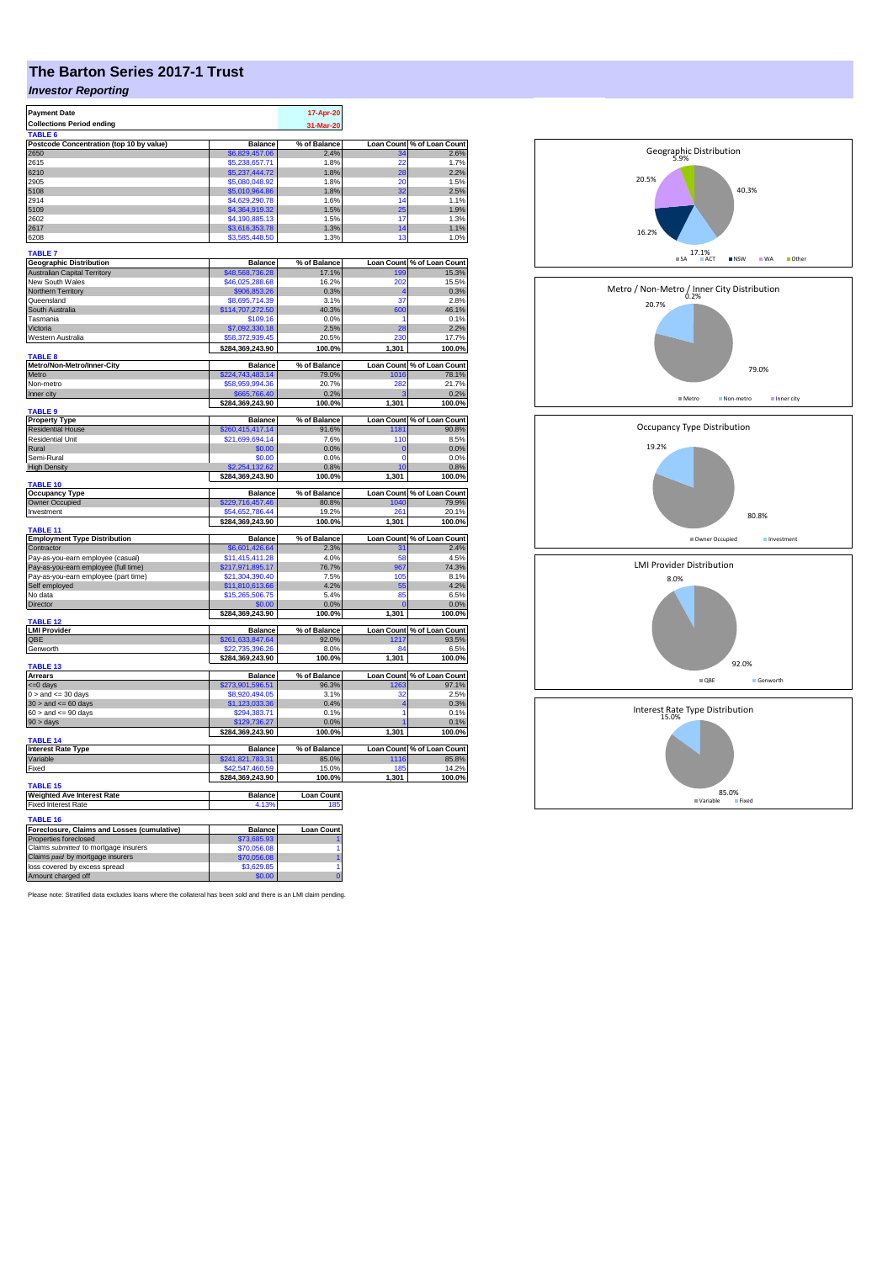## **The Barton Series 2017-1 Trust**

## *Investor Reporting*

| <b>Payment Date</b>                                 |                                  | 17-Apr-20            |                   |                            |
|-----------------------------------------------------|----------------------------------|----------------------|-------------------|----------------------------|
| <b>Collections Period ending</b>                    |                                  |                      |                   |                            |
|                                                     |                                  | 31-Mar-20            |                   |                            |
| TABLE <sub>6</sub>                                  |                                  |                      | <b>Loan Count</b> |                            |
| Postcode Concentration (top 10 by value)<br>2650    | <b>Balance</b><br>\$6,829,457.06 | % of Balance<br>2.4% |                   | % of Loan Count<br>2.6%    |
| 2615                                                | \$5.238.657.71                   | 1.8%                 | 22                | 1.7%                       |
| 6210                                                | \$5,237,444.72                   | 1.8%                 | 28                | 2.2%                       |
| 2905                                                | \$5,080,048.92                   | 1.8%                 | 20                | 1.5%                       |
| 5108                                                | \$5.010.964.86                   | 1.8%                 | 32                | 2.5%                       |
| 2914                                                | \$4,629,290.78                   | 1.6%                 | 14                | 1.1%                       |
| 5109                                                | \$4,364,919.32                   | 1.5%                 | 25                | 1.9%                       |
| 2602                                                | \$4,190,885.13                   | 1.5%                 | 17                | 1.3%                       |
| 2617                                                |                                  | 1.3%                 | 14                |                            |
| 6208                                                | \$3,616,353.78<br>\$3,585,448.50 | 1.3%                 | 13                | 1.1%                       |
|                                                     |                                  |                      |                   | 1.0%                       |
| <b>TABLE 7</b>                                      |                                  |                      |                   |                            |
| <b>Geographic Distribution</b>                      | <b>Balance</b>                   | % of Balance         | <b>Loan Count</b> | % of Loan Count            |
| <b>Australian Capital Territory</b>                 | \$48,568,736.28                  | 17.1%                | 199               | 15.3%                      |
| New South Wales                                     | \$46,025,288.68                  | 16.2%                | 202               | 15.5%                      |
| Northern Territory                                  | \$906,853.26                     | 0.3%                 |                   | 0.3%                       |
| Queensland                                          | \$8,695,714.39                   | 3.1%                 | 37                | 2.8%                       |
| South Australia                                     | \$114,707,272.50                 | 40.3%                | 600               | 46.1%                      |
| Tasmania                                            | \$109.16                         | 0.0%                 | 1                 | 0.1%                       |
| Victoria                                            | \$7,092,330.18                   | 2.5%                 | 28                | 2.2%                       |
| Western Australia                                   | \$58,372,939.45                  | 20.5%                | 230               | 17.7%                      |
|                                                     | \$284,369,243.90                 | 100.0%               | 1,301             | 100.0%                     |
| TABLE 8                                             |                                  |                      |                   |                            |
| Metro/Non-Metro/Inner-City                          | <b>Balance</b>                   | % of Balance         | <b>Loan Count</b> | % of Loan Count            |
| Metro                                               | \$224,743,483.14                 | 79.0%                | 1016              | 78.1%                      |
| Non-metro                                           | \$58,959,994.36                  | 20.7%                | 282               | 21.7%                      |
| Inner city                                          | \$665,766.40                     | 0.2%                 |                   | 0.2%                       |
|                                                     | \$284,369,243.90                 | 100.0%               | 1,301             | 100.0%                     |
| <b>TABLE 9</b>                                      |                                  |                      |                   |                            |
| <b>Property Type</b>                                | <b>Balance</b>                   | % of Balance         | <b>Loan Count</b> |                            |
| <b>Residential House</b>                            | 260,415,417.14                   | 91.6%                | 1181              | % of Loan Count<br>% 90.8  |
| <b>Residential Unit</b>                             | \$21,699,694.14                  | 7.6%                 | 110               | 8.5%                       |
| Rural                                               | \$0.00                           | 0.0%                 | $\overline{0}$    | 0.0%                       |
| Semi-Rural                                          | \$0.00                           | 0.0%                 | $\mathbf 0$       | 0.0%                       |
| <b>High Density</b>                                 | 132.62                           | 0.8%                 | 10                | 0.8%                       |
|                                                     | \$284,369,243.90                 | 100.0%               | 1,301             | 100.0%                     |
| <b>TABLE 10</b>                                     |                                  |                      |                   |                            |
|                                                     |                                  |                      |                   |                            |
| <b>Occupancy Type</b>                               | <b>Balance</b>                   | % of Balance         | <b>Loan Count</b> | % of Loan Count            |
| <b>Owner Occupied</b>                               | \$229,716,457.46                 | 80.8%                | 1040              |                            |
| Investment                                          | \$54,652,786.44                  | 19.2%                | 261               | 79.9%<br>20.1%             |
|                                                     | \$284,369,243.90                 | 100.0%               | 1,301             | 100.0%                     |
| TABLE 11                                            |                                  |                      |                   |                            |
|                                                     | <b>Balance</b>                   | % of Balance         | Loan Count        | % of Loan Count            |
| <b>Employment Type Distribution</b><br>Contractor   | \$6,601,426.64                   | 2.3%                 | 31                | 2.4%                       |
| Pay-as-you-earn employee (casual)                   | \$11,415,411.28                  | 4.0%                 | 58                | 4.5%                       |
| Pay-as-you-earn employee (full time)                | \$217,971,895.17                 | 76.7%                | 967               | 74.3%                      |
| Pay-as-you-earn employee (part time)                | \$21,304,390.40                  | 7.5%                 | 105               | 8.1%                       |
|                                                     | \$11,810,613.66                  | 4.2%                 | 55                | 4.2%                       |
| Self employed<br>No data                            | \$15,265,506.75                  | 5.4%                 | 85                | 6.5%                       |
|                                                     |                                  |                      |                   |                            |
| Director                                            | \$0.00                           | 0.0%                 |                   | 0.0%                       |
| <b>TABLE 12</b>                                     | \$284,369,243.90                 | 100.0%               | 1,301             | 100.0%                     |
| <b>LMI Provider</b>                                 | <b>Balance</b>                   | % of Balance         |                   | Loan Count % of Loan Count |
| QBE                                                 | \$261,633,847.64                 | 92.0%                | 1217              | 93.5%                      |
| Genworth                                            | 22.735.396.26                    | 8.0%                 | 84                | 6.5%                       |
|                                                     | \$284,369,243.90                 | 100.0%               | 1,301             | 100.0%                     |
| TABLE 13                                            |                                  |                      |                   |                            |
| Arrears                                             | <b>Balance</b>                   | % of Balance         | <b>Loan Count</b> | % of Loan Count            |
| <=0 days                                            | \$273,901,596.51                 | 96.3%                | 1263              | 97.1%                      |
| $0 >$ and $\leq 30$ days                            | \$8,920,494.05                   | 3.1%                 | 32                | 2.5%                       |
| $30 >$ and $\leq 60$ days                           | \$1,123,033.36                   | 0.4%                 | 4                 | 0.3%                       |
| $60 >$ and $\leq 90$ days                           | \$294,383.71                     | 0.1%                 | 1                 | 0.1%                       |
| 90 > days                                           | \$129,736.                       | 0.0%                 |                   | 0.1%                       |
|                                                     | \$284,369,243.90                 | 100.0%               | 1,301             | 100.0%                     |
| <b>TABLE 14</b>                                     |                                  |                      |                   |                            |
| <b>Interest Rate Type</b>                           | <b>Balance</b>                   | % of Balance         | <b>Loan Count</b> | % of Loan Count            |
| Variable                                            | \$241,821,783.31                 | 85.0%                | 1116              | 85.8%                      |
| Fixed                                               | \$42,547,460.59                  | 15.0%                | 18                | 14.2%                      |
|                                                     | \$284,369,243.90                 | 100.0%               | 1,301             | 100.0%                     |
| TABLE 15                                            |                                  |                      |                   |                            |
| <b>Weighted Ave Interest Rate</b>                   | <b>Balance</b>                   | <b>Loan Count</b>    |                   |                            |
| <b>Fixed Interest Rate</b>                          | 4.13%                            | 185                  |                   |                            |
|                                                     |                                  |                      |                   |                            |
| <b>TABLE 16</b>                                     |                                  |                      |                   |                            |
| Foreclosure, Claims and Losses (cumulative)         | <b>Balance</b>                   | <b>Loan Count</b>    |                   |                            |
| Properties foreclosed                               | \$73,685.93                      |                      |                   |                            |
| Claims submitted to mortgage insurers               | \$70,056.08                      |                      |                   |                            |
| Claims paid by mortgage insurers                    | \$70,056.08                      |                      |                   |                            |
| loss covered by excess spread<br>Amount charged off | \$3,629.85<br>\$0.00             | $\Omega$             |                   |                            |

Please note: Stratified data excludes loans where the collateral has been sold and there is an LMI claim pending.